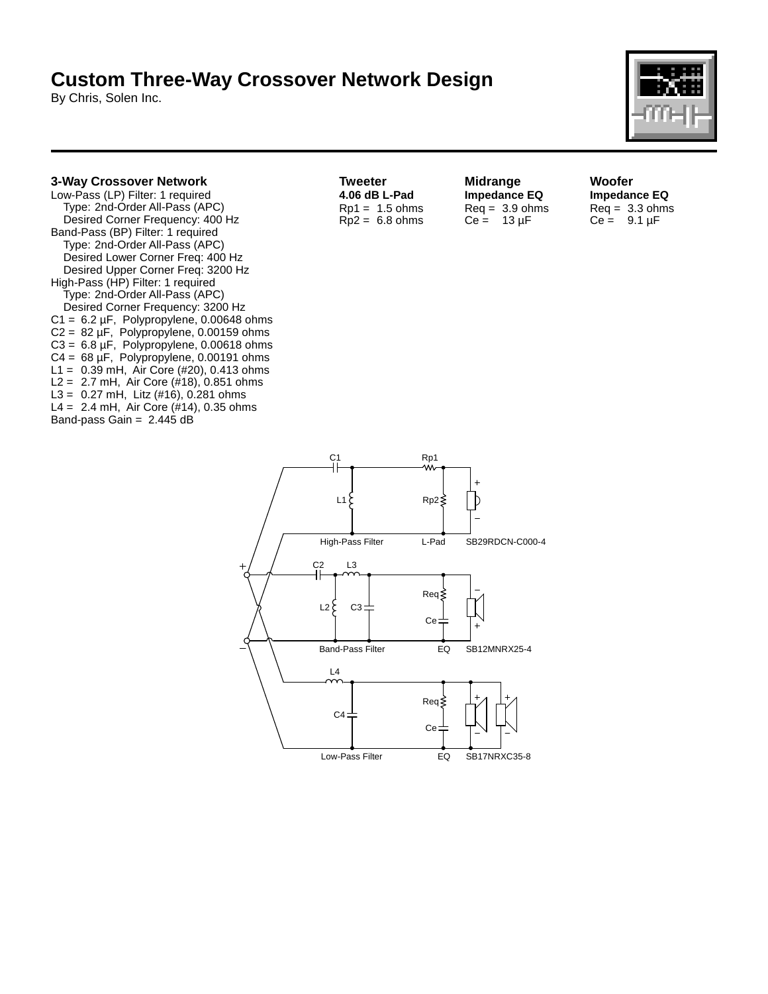## **Custom Three-Way Crossover Network Design**

By Chris, Solen Inc.



## **3-Way Crossover Network**

Low-Pass (LP) Filter: 1 required Type: 2nd-Order All-Pass (APC) Desired Corner Frequency: 400 Hz Band-Pass (BP) Filter: 1 required Type: 2nd-Order All-Pass (APC) Desired Lower Corner Freq: 400 Hz Desired Upper Corner Freq: 3200 Hz High-Pass (HP) Filter: 1 required Type: 2nd-Order All-Pass (APC) Desired Corner Frequency: 3200 Hz  $C1 = 6.2 \mu F$ , Polypropylene, 0.00648 ohms  $C2 = 82 \mu F$ , Polypropylene, 0.00159 ohms  $C3 = 6.8 \,\mu\text{F}$ , Polypropylene, 0.00618 ohms  $C4 = 68 \,\mu\text{F}$ , Polypropylene, 0.00191 ohms L1 = 0.39 mH, Air Core (#20), 0.413 ohms L2 = 2.7 mH, Air Core  $(\#18)$ , 0.851 ohms L3 =  $0.27$  mH, Litz (#16), 0.281 ohms L4 =  $2.4$  mH, Air Core (#14), 0.35 ohms Band-pass Gain =  $2.445$  dB

**Tweeter 4.06 dB L-Pad**  $Rp1 = 1.5$  ohms  $Rp2 = 6.8 ohms$  **Midrange Impedance EQ**  $Req = 3.9 ohms$  $Ce = 13 \mu F$ 

**Woofer Impedance EQ**  $Req = 3.3 ohms$  $Ce = 9.1 \mu F$ 

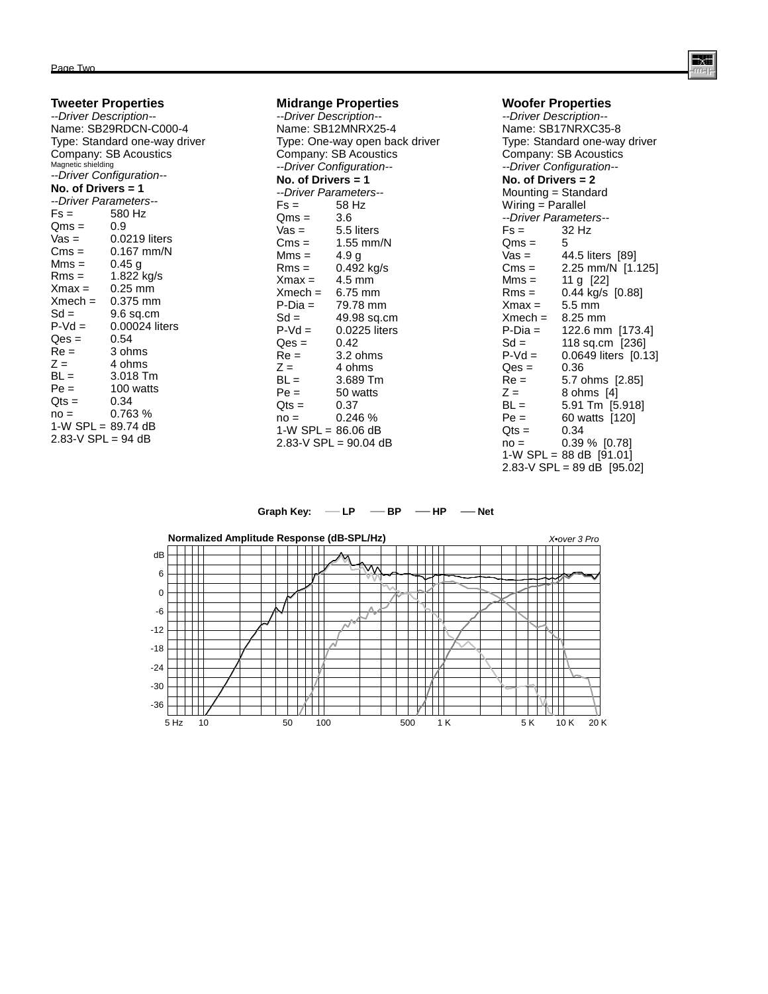|                               | <b>Tweeter Properties</b> |  |
|-------------------------------|---------------------------|--|
| --Driver Description--        |                           |  |
| Name: SB29RDCN-C000-4         |                           |  |
| Type: Standard one-way driver |                           |  |
| Company: SB Acoustics         |                           |  |
| Magnetic shielding            |                           |  |
| --Driver Configuration--      |                           |  |
| No. of Drivers $=$ 1          |                           |  |
| --Driver Parameters--         |                           |  |
| $Fs =$                        | 580 Hz                    |  |
| Qms =                         | 0.9                       |  |
| Vas =                         | 0.0219 liters             |  |
| Cms =                         | $0.167$ mm/N              |  |
| Mms =                         | 0.45 a                    |  |
| Rms =                         | 1.822 kg/s                |  |
| Xmax =                        | 0.25 mm                   |  |
| $Xmech = 0.375$ mm            |                           |  |
| $Sd =$                        | 9.6 sq.cm                 |  |
| $P-Vd =$                      | 0.00024 liters            |  |
| $Qes =$                       | 0.54                      |  |
| Re =                          | 3 ohms                    |  |
| $Z =$                         | 4 ohms                    |  |
| BL =                          | 3.018 Tm                  |  |
| $Pe =$                        | 100 watts                 |  |
| $Qts =$                       | 0.34                      |  |
| $no =$                        | 0.763%                    |  |
| 1-W $SPL = 89.74 dB$          |                           |  |
| 2.83-V SPL = $94$ dB          |                           |  |

| <b>Midrange Properties</b> |                          |  |
|----------------------------|--------------------------|--|
| --Driver Description--     |                          |  |
|                            | Name: SB12MNRX25-4       |  |
|                            | Type: One-way open back  |  |
|                            | Company: SB Acoustics    |  |
|                            | --Driver Configuration-- |  |
| No. of Drivers = 1         |                          |  |
|                            | --Driver Parameters--    |  |
| $Fs =$                     | 58 Hz                    |  |
| Qms =                      | 3.6                      |  |
| Vas =                      | 5.5 liters               |  |
| $Cms =$                    | $1.55$ mm/N              |  |
| Mms =                      | 4.9 g                    |  |
| $Rms =$                    | 0.492 kg/s               |  |
| $Xmax = 4.5$ mm            |                          |  |
| $Xmech = 6.75 mm$          |                          |  |
| P-Dia =                    | 79.78 mm                 |  |
| $Sd =$                     | 49.98 sq.cm              |  |
| $P-Vd =$                   | 0.0225 liters            |  |
| $Qes =$                    | 0.42                     |  |
| $Re =$                     | 3.2 ohms                 |  |
| $Z =$                      | 4 ohms                   |  |
| $BL =$                     | 3.689 Tm                 |  |
| Pe =                       | 50 watts                 |  |
| $Qts =$                    | 0.37                     |  |
| $no =$                     | 0.246 %                  |  |
| 1-W $SPL = 86.06 dB$       |                          |  |
|                            | 2.83-V SPL = $90.04$ dB  |  |

driver

| <b>Woofer Properties</b>      |                                                               |  |
|-------------------------------|---------------------------------------------------------------|--|
| --Driver Description--        |                                                               |  |
| Name: SB17NRXC35-8            |                                                               |  |
| Type: Standard one-way driver |                                                               |  |
| Company: SB Acoustics         |                                                               |  |
| --Driver Configuration--      |                                                               |  |
| No. of Drivers $= 2$          |                                                               |  |
| Mounting = Standard           |                                                               |  |
| Wiring = Parallel             |                                                               |  |
| --Driver Parameters--         |                                                               |  |
| $Fs =$                        | 32 Hz                                                         |  |
|                               |                                                               |  |
|                               | Coms = 5<br>Vas = 44.5 liters [89]<br>Cms = 2.25 mm/N [1.125] |  |
|                               |                                                               |  |
| $Mms = 11 g [22]$             |                                                               |  |
| $Rms =$                       | 0.44 kg/s [0.88]                                              |  |
| $Xmax =$                      | 5.5 mm                                                        |  |
| $Xmech = 8.25$ mm             |                                                               |  |
| P-Dia =                       | 122.6 mm [173.4]                                              |  |
| $Sd =$                        | 118 sq.cm [236]                                               |  |
|                               | $P-Vd = 0.0649$ liters $[0.13]$                               |  |
| $Qes =$ 0.36                  |                                                               |  |
| Re =                          | 5.7 ohms [2.85]                                               |  |
| $Z =$                         | 8 ohms [4]                                                    |  |
| $BL =$                        | 5.91 Tm [5.918]                                               |  |
| Pe =                          | 60 watts [120]                                                |  |
| $Qts =$                       | 0.34                                                          |  |
| $no =$                        | 0.39 % [0.78]                                                 |  |
|                               | 1-W SPL = $88$ dB [91.01]                                     |  |
| 2.83-V SPL = 89 dB $[95.02]$  |                                                               |  |

## Graph Key:  $-\mathsf{LP}$  - BP - HP - Net